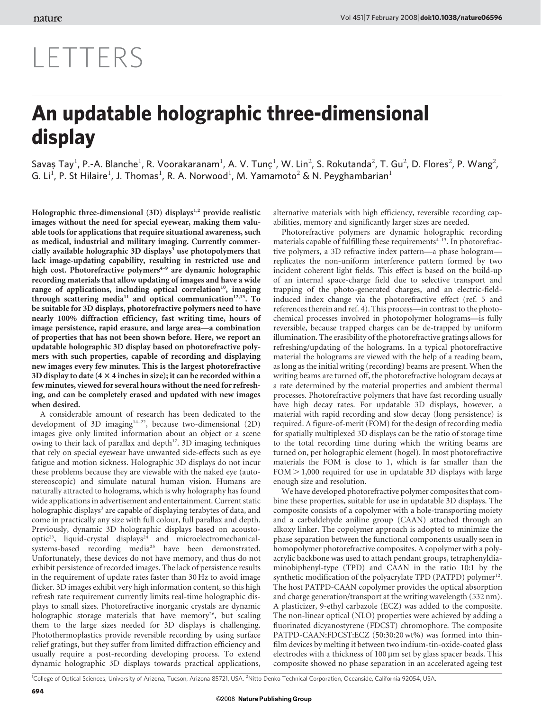## LETTERS

## An updatable holographic three-dimensional display

Savaș Tay<sup>1</sup>, P.-A. Blanche<sup>1</sup>, R. Voorakaranam<sup>1</sup>, A. V. Tunç<sup>1</sup>, W. Lin<sup>2</sup>, S. Rokutanda<sup>2</sup>, T. Gu<sup>2</sup>, D. Flores<sup>2</sup>, P. Wang<sup>2</sup>, G. Li<sup>1</sup>, P. St Hilaire<sup>1</sup>, J. Thomas<sup>1</sup>, R. A. Norwood<sup>1</sup>, M. Yamamoto<sup>2</sup> & N. Peyghambarian<sup>1</sup>

Holographic three-dimensional  $(3D)$  displays<sup>1,2</sup> provide realistic images without the need for special eyewear, making them valuable tools for applications that require situational awareness, such as medical, industrial and military imaging. Currently commercially available holographic  $3D$  displays<sup>3</sup> use photopolymers that lack image-updating capability, resulting in restricted use and high cost. Photorefractive polymers<sup>4-9</sup> are dynamic holographic recording materials that allow updating of images and have a wide range of applications, including optical correlation<sup>10</sup>, imaging through scattering media<sup>11</sup> and optical communication<sup>12,13</sup>. To be suitable for 3D displays, photorefractive polymers need to have nearly 100% diffraction efficiency, fast writing time, hours of image persistence, rapid erasure, and large area—a combination of properties that has not been shown before. Here, we report an updatable holographic 3D display based on photorefractive polymers with such properties, capable of recording and displaying new images every few minutes. This is the largest photorefractive 3D display to date  $(4 \times 4)$  inches in size); it can be recorded within a few minutes, viewed for several hours without the need for refreshing, and can be completely erased and updated with new images when desired.

A considerable amount of research has been dedicated to the development of 3D imaging<sup>14-22</sup>, because two-dimensional (2D) images give only limited information about an object or a scene owing to their lack of parallax and depth<sup>17</sup>. 3D imaging techniques that rely on special eyewear have unwanted side-effects such as eye fatigue and motion sickness. Holographic 3D displays do not incur these problems because they are viewable with the naked eye (autostereoscopic) and simulate natural human vision. Humans are naturally attracted to holograms, which is why holography has found wide applications in advertisement and entertainment. Current static holographic displays<sup>3</sup> are capable of displaying terabytes of data, and come in practically any size with full colour, full parallax and depth. Previously, dynamic 3D holographic displays based on acoustooptic<sup>23</sup>, liquid-crystal displays<sup>24</sup> and microelectromechanicalsystems-based recording media<sup>25</sup> have been demonstrated. Unfortunately, these devices do not have memory, and thus do not exhibit persistence of recorded images. The lack of persistence results in the requirement of update rates faster than 30 Hz to avoid image flicker. 3D images exhibit very high information content, so this high refresh rate requirement currently limits real-time holographic displays to small sizes. Photorefractive inorganic crystals are dynamic holographic storage materials that have memory<sup>26</sup>, but scaling them to the large sizes needed for 3D displays is challenging. Photothermoplastics provide reversible recording by using surface relief gratings, but they suffer from limited diffraction efficiency and usually require a post-recording developing process. To extend dynamic holographic 3D displays towards practical applications,

alternative materials with high efficiency, reversible recording capabilities, memory and significantly larger sizes are needed.

Photorefractive polymers are dynamic holographic recording materials capable of fulfilling these requirements $4-13$ . In photorefractive polymers, a 3D refractive index pattern—a phase hologram replicates the non-uniform interference pattern formed by two incident coherent light fields. This effect is based on the build-up of an internal space-charge field due to selective transport and trapping of the photo-generated charges, and an electric-fieldinduced index change via the photorefractive effect (ref. 5 and references therein and ref. 4). This process—in contrast to the photochemical processes involved in photopolymer holograms—is fully reversible, because trapped charges can be de-trapped by uniform illumination. The erasibility of the photorefractive gratings allows for refreshing/updating of the holograms. In a typical photorefractive material the holograms are viewed with the help of a reading beam, as long as the initial writing (recording) beams are present. When the writing beams are turned off, the photorefractive hologram decays at a rate determined by the material properties and ambient thermal processes. Photorefractive polymers that have fast recording usually have high decay rates. For updatable 3D displays, however, a material with rapid recording and slow decay (long persistence) is required. A figure-of-merit (FOM) for the design of recording media for spatially multiplexed 3D displays can be the ratio of storage time to the total recording time during which the writing beams are turned on, per holographic element (hogel). In most photorefractive materials the FOM is close to 1, which is far smaller than the  $FOM > 1,000$  required for use in updatable 3D displays with large enough size and resolution.

We have developed photorefractive polymer composites that combine these properties, suitable for use in updatable 3D displays. The composite consists of a copolymer with a hole-transporting moiety and a carbaldehyde aniline group (CAAN) attached through an alkoxy linker. The copolymer approach is adopted to minimize the phase separation between the functional components usually seen in homopolymer photorefractive composites. A copolymer with a polyacrylic backbone was used to attach pendant groups, tetraphenyldiaminobiphenyl-type (TPD) and CAAN in the ratio 10:1 by the synthetic modification of the polyacrylate TPD (PATPD) polymer<sup>12</sup>. The host PATPD-CAAN copolymer provides the optical absorption and charge generation/transport at the writing wavelength (532 nm). A plasticizer, 9-ethyl carbazole (ECZ) was added to the composite. The non-linear optical (NLO) properties were achieved by adding a fluorinated dicyanostyrene (FDCST) chromophore. The composite PATPD-CAAN:FDCST:ECZ (50:30:20 wt%) was formed into thinfilm devices by melting it between two indium-tin-oxide-coated glass electrodes with a thickness of  $100 \mu m$  set by glass spacer beads. This composite showed no phase separation in an accelerated ageing test

<sup>1</sup>College of Optical Sciences, University of Arizona, Tucson, Arizona 85721, USA. <sup>2</sup>Nitto Denko Technical Corporation, Oceanside, California 92054, USA.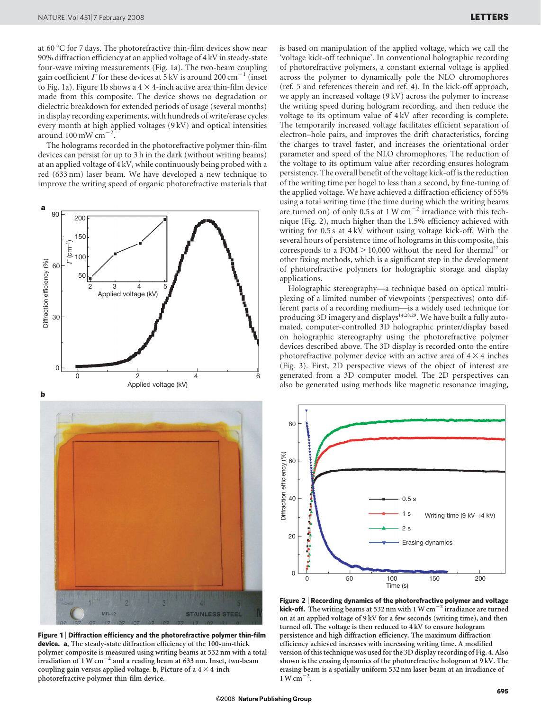at 60  $\degree$ C for 7 days. The photorefractive thin-film devices show near 90% diffraction efficiency at an applied voltage of 4 kV in steady-state four-wave mixing measurements (Fig. 1a). The two-beam coupling gain coefficient  $\Gamma$  for these devices at 5 kV is around 200 cm<sup>-1</sup> (inset to Fig. 1a). Figure 1b shows a  $4 \times 4$ -inch active area thin-film device made from this composite. The device shows no degradation or dielectric breakdown for extended periods of usage (several months) in display recording experiments, with hundreds of write/erase cycles every month at high applied voltages (9 kV) and optical intensities around  $100 \text{ mW cm}^{-2}$ .

The holograms recorded in the photorefractive polymer thin-film devices can persist for up to 3 h in the dark (without writing beams) at an applied voltage of 4 kV, while continuously being probed with a red (633 nm) laser beam. We have developed a new technique to improve the writing speed of organic photorefractive materials that



Figure 1 | Diffraction efficiency and the photorefractive polymer thin-film device. a, The steady-state diffraction efficiency of the  $100$ - $\mu$ m-thick polymer composite is measured using writing beams at 532 nm with a total irradiation of 1 W  $cm^{-2}$  and a reading beam at 633 nm. Inset, two-beam coupling gain versus applied voltage. **b**, Picture of a  $4 \times 4$ -inch photorefractive polymer thin-film device.

is based on manipulation of the applied voltage, which we call the 'voltage kick-off technique'. In conventional holographic recording of photorefractive polymers, a constant external voltage is applied across the polymer to dynamically pole the NLO chromophores (ref. 5 and references therein and ref. 4). In the kick-off approach, we apply an increased voltage (9 kV) across the polymer to increase the writing speed during hologram recording, and then reduce the voltage to its optimum value of 4 kV after recording is complete. The temporarily increased voltage facilitates efficient separation of electron–hole pairs, and improves the drift characteristics, forcing the charges to travel faster, and increases the orientational order parameter and speed of the NLO chromophores. The reduction of the voltage to its optimum value after recording ensures hologram persistency. The overall benefit of the voltage kick-off is the reduction of the writing time per hogel to less than a second, by fine-tuning of the applied voltage. We have achieved a diffraction efficiency of 55% using a total writing time (the time during which the writing beams are turned on) of only 0.5 s at 1 W cm<sup> $-2$ </sup> irradiance with this technique (Fig. 2), much higher than the 1.5% efficiency achieved with writing for 0.5 s at 4 kV without using voltage kick-off. With the several hours of persistence time of holograms in this composite, this corresponds to a FOM  $>$  10,000 without the need for thermal<sup>27</sup> or other fixing methods, which is a significant step in the development of photorefractive polymers for holographic storage and display applications.

Holographic stereography—a technique based on optical multiplexing of a limited number of viewpoints (perspectives) onto different parts of a recording medium—is a widely used technique for producing 3D imagery and displays<sup>14,28,29</sup>. We have built a fully automated, computer-controlled 3D holographic printer/display based on holographic stereography using the photorefractive polymer devices described above. The 3D display is recorded onto the entire photorefractive polymer device with an active area of  $4 \times 4$  inches (Fig. 3). First, 2D perspective views of the object of interest are generated from a 3D computer model. The 2D perspectives can also be generated using methods like magnetic resonance imaging,



Figure 2 <sup>|</sup> Recording dynamics of the photorefractive polymer and voltage **kick-off.** The writing beams at 532 nm with 1 W  $cm^{-2}$  irradiance are turned on at an applied voltage of 9 kV for a few seconds (writing time), and then turned off. The voltage is then reduced to 4 kV to ensure hologram persistence and high diffraction efficiency. The maximum diffraction efficiency achieved increases with increasing writing time. A modified version of this technique was used for the 3D display recording of Fig. 4. Also shown is the erasing dynamics of the photorefractive hologram at 9 kV. The erasing beam is a spatially uniform 532 nm laser beam at an irradiance of  $1 \text{ W cm}^{-2}$ .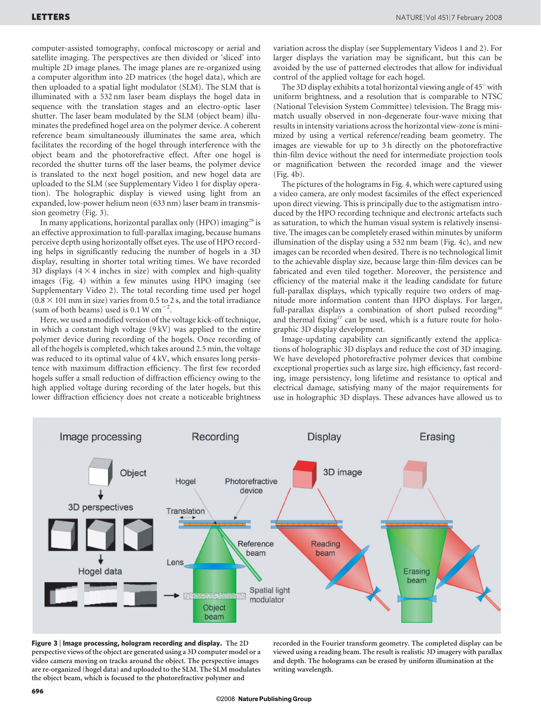computer-assisted tomography, confocal microscopy or aerial and satellite imaging. The perspectives are then divided or 'sliced' into multiple 2D image planes. The image planes are re-organized using a computer algorithm into 2D matrices (the hogel data), which are then uploaded to a spatial light modulator (SLM). The SLM that is illuminated with a 532 nm laser beam displays the hogel data in sequence with the translation stages and an electro-optic laser shutter. The laser beam modulated by the SLM (object beam) illuminates the predefined hogel area on the polymer device. A coherent reference beam simultaneously illuminates the same area, which facilitates the recording of the hogel through interference with the object beam and the photorefractive effect. After one hogel is recorded the shutter turns off the laser beams, the polymer device is translated to the next hogel position, and new hogel data are uploaded to the SLM (see Supplementary Video 1 for display operation). The holographic display is viewed using light from an expanded, low-power helium neon (633 nm) laser beam in transmission geometry (Fig. 3).

In many applications, horizontal parallax only (HPO) imaging<sup>29</sup> is an effective approximation to full-parallax imaging, because humans perceive depth using horizontally offset eyes. The use of HPO recording helps in significantly reducing the number of hogels in a 3D display, resulting in shorter total writing times. We have recorded 3D displays  $(4 \times 4$  inches in size) with complex and high-quality images (Fig. 4) within a few minutes using HPO imaging (see Supplementary Video 2). The total recording time used per hogel  $(0.8 \times 101$  mm in size) varies from 0.5 to 2 s, and the total irradiance (sum of both beams) used is  $0.1 \text{ W cm}^{-2}$ .

Here, we used a modified version of the voltage kick-off technique, in which a constant high voltage (9 kV) was applied to the entire polymer device during recording of the hogels. Once recording of all of the hogels is completed, which takes around 2.5 min, the voltage was reduced to its optimal value of 4 kV, which ensures long persistence with maximum diffraction efficiency. The first few recorded hogels suffer a small reduction of diffraction efficiency owing to the high applied voltage during recording of the later hogels, but this lower diffraction efficiency does not create a noticeable brightness variation across the display (see Supplementary Videos 1 and 2). For larger displays the variation may be significant, but this can be avoided by the use of patterned electrodes that allow for individual control of the applied voltage for each hogel.

The 3D display exhibits a total horizontal viewing angle of  $45^{\circ}$  with uniform brightness, and a resolution that is comparable to NTSC (National Television System Committee) television. The Bragg mismatch usually observed in non-degenerate four-wave mixing that results in intensity variations across the horizontal view-zone is minimized by using a vertical reference/reading beam geometry. The images are viewable for up to 3 h directly on the photorefractive thin-film device without the need for intermediate projection tools or magnification between the recorded image and the viewer (Fig. 4b).

The pictures of the holograms in Fig. 4, which were captured using a video camera, are only modest facsimiles of the effect experienced upon direct viewing. This is principally due to the astigmatism introduced by the HPO recording technique and electronic artefacts such as saturation, to which the human visual system is relatively insensitive. The images can be completely erased within minutes by uniform illumination of the display using a 532 nm beam (Fig. 4c), and new images can be recorded when desired. There is no technological limit to the achievable display size, because large thin-film devices can be fabricated and even tiled together. Moreover, the persistence and efficiency of the material make it the leading candidate for future full-parallax displays, which typically require two orders of magnitude more information content than HPO displays. For larger, full-parallax displays a combination of short pulsed recording<sup>30</sup> and thermal fixing<sup>27</sup> can be used, which is a future route for holographic 3D display development.

Image-updating capability can significantly extend the applications of holographic 3D displays and reduce the cost of 3D imaging. We have developed photorefractive polymer devices that combine exceptional properties such as large size, high efficiency, fast recording, image persistency, long lifetime and resistance to optical and electrical damage, satisfying many of the major requirements for use in holographic 3D displays. These advances have allowed us to



Figure 3 <sup>|</sup> Image processing, hologram recording and display. The 2D perspective views of the object are generated using a 3D computer model or a video camera moving on tracks around the object. The perspective images are re-organized (hogel data) and uploaded to the SLM. The SLM modulates the object beam, which is focused to the photorefractive polymer and

recorded in the Fourier transform geometry. The completed display can be viewed using a reading beam. The result is realistic 3D imagery with parallax and depth. The holograms can be erased by uniform illumination at the writing wavelength.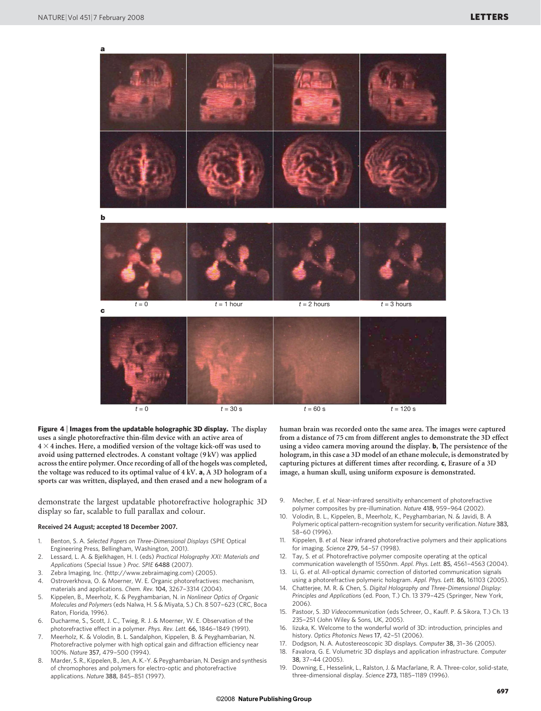

Figure 4 <sup>|</sup> Images from the updatable holographic 3D display. The display uses a single photorefractive thin-film device with an active area of  $4 \times 4$  inches. Here, a modified version of the voltage kick-off was used to avoid using patterned electrodes. A constant voltage (9 kV) was applied across the entire polymer. Once recording of all of the hogels was completed, the voltage was reduced to its optimal value of 4 kV. a, A 3D hologram of a sports car was written, displayed, and then erased and a new hologram of a

demonstrate the largest updatable photorefractive holographic 3D display so far, scalable to full parallax and colour.

## Received 24 August; accepted 18 December 2007.

- 1. Benton, S. A. Selected Papers on Three-Dimensional Displays (SPIE Optical Engineering Press, Bellingham, Washington, 2001).
- 2. Lessard, L. A. & Bjelkhagen, H. I. (eds) Practical Holography XXI: Materials and Applications (Special Issue ) Proc. SPIE 6488 (2007).
- 3. Zebra Imaging, Inc. (<http://www.zebraimaging.com>) (2005).
- 4. Ostroverkhova, O. & Moerner, W. E. Organic photorefractives: mechanism, materials and applications. Chem. Rev. 104, 3267–3314 (2004).
- 5. Kippelen, B., Meerholz, K. & Peyghambarian, N. in Nonlinear Optics of Organic Molecules and Polymers(eds Nalwa, H. S & Miyata, S.) Ch. 8 507–623 (CRC, Boca Raton, Florida, 1996).
- 6. Ducharme, S., Scott, J. C., Twieg, R. J. & Moerner, W. E. Observation of the photorefractive effect in a polymer. Phys. Rev. Lett. 66, 1846–1849 (1991).
- 7. Meerholz, K. & Volodin, B. L. Sandalphon, Kippelen, B. & Peyghambarian, N. Photorefractive polymer with high optical gain and diffraction efficiency near 100%. Nature 357, 479–500 (1994).
- 8. Marder, S. R., Kippelen, B., Jen, A. K.-Y. & Peyghambarian, N. Design and synthesis of chromophores and polymers for electro-optic and photorefractive applications. Nature 388, 845–851 (1997).

human brain was recorded onto the same area. The images were captured from a distance of 75 cm from different angles to demonstrate the 3D effect using a video camera moving around the display. b, The persistence of the hologram, in this case a 3D model of an ethane molecule, is demonstrated by capturing pictures at different times after recording. c, Erasure of a 3D image, a human skull, using uniform exposure is demonstrated.

- 9. Mecher, E. et al. Near-infrared sensitivity enhancement of photorefractive polymer composites by pre-illumination. Nature 418, 959–964 (2002).
- Volodin, B. L., Kippelen, B., Meerholz, K., Peyghambarian, N. & Javidi, B. A Polymeric optical pattern-recognition system for security verification. Nature 383, 58–60 (1996).
- 11. Kippelen, B. et al. Near infrared photorefractive polymers and their applications for imaging. Science 279, 54–57 (1998).
- 12. Tay, S. et al. Photorefractive polymer composite operating at the optical communication wavelength of 1550nm. Appl. Phys. Lett. 85, 4561–4563 (2004).
- 13. Li, G. et al. All-optical dynamic correction of distorted communication signals using a photorefractive polymeric hologram. Appl. Phys. Lett. 86, 161103 (2005).
- 14. Chatterjee, M. R. & Chen, S. Digital Holography and Three-Dimensional Display: Principles and Applications (ed. Poon, T.) Ch. 13 379–425 (Springer, New York, 2006).
- 15. Pastoor, S. 3D Videocommunication (eds Schreer, O., Kauff. P. & Sikora, T.) Ch. 13 235–251 (John Wiley & Sons, UK, 2005).
- 16. Iizuka, K. Welcome to the wonderful world of 3D: introduction, principles and history. Optics Photonics News 17, 42-51 (2006).
- 17. Dodgson, N. A. Autostereoscopic 3D displays. Computer 38, 31–36 (2005).
- 18. Favalora, G. E. Volumetric 3D displays and application infrastructure. Computer 38, 37–44 (2005).
- 19. Downing, E., Hesselink, L., Ralston, J. & Macfarlane, R. A. Three-color, solid-state, three-dimensional display. Science 273, 1185–1189 (1996).